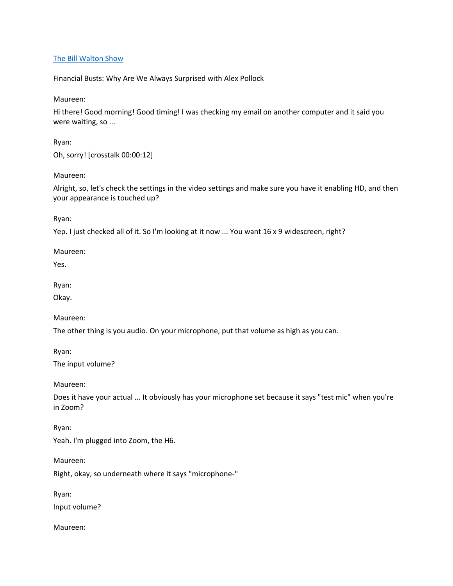## [The Bill Walton Show](https://thebillwaltonshow.com/)

Financial Busts: Why Are We Always Surprised with Alex Pollock

Maureen:

Hi there! Good morning! Good timing! I was checking my email on another computer and it said you were waiting, so ...

Ryan: Oh, sorry! [crosstalk 00:00:12]

Maureen:

Alright, so, let's check the settings in the video settings and make sure you have it enabling HD, and then your appearance is touched up?

Ryan:

Yep. I just checked all of it. So I'm looking at it now ... You want 16 x 9 widescreen, right?

Maureen:

Yes.

Ryan:

Okay.

Maureen:

The other thing is you audio. On your microphone, put that volume as high as you can.

Ryan:

The input volume?

Maureen:

Does it have your actual ... It obviously has your microphone set because it says "test mic" when you're in Zoom?

Ryan:

Yeah. I'm plugged into Zoom, the H6.

Maureen:

Right, okay, so underneath where it says "microphone-"

Ryan: Input volume?

Maureen: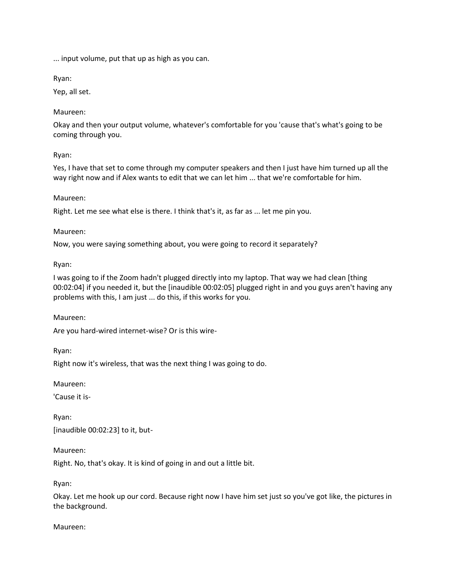... input volume, put that up as high as you can.

Ryan:

Yep, all set.

Maureen:

Okay and then your output volume, whatever's comfortable for you 'cause that's what's going to be coming through you.

Ryan:

Yes, I have that set to come through my computer speakers and then I just have him turned up all the way right now and if Alex wants to edit that we can let him ... that we're comfortable for him.

Maureen:

Right. Let me see what else is there. I think that's it, as far as ... let me pin you.

Maureen:

Now, you were saying something about, you were going to record it separately?

Ryan:

I was going to if the Zoom hadn't plugged directly into my laptop. That way we had clean [thing 00:02:04] if you needed it, but the [inaudible 00:02:05] plugged right in and you guys aren't having any problems with this, I am just ... do this, if this works for you.

Maureen:

Are you hard-wired internet-wise? Or is this wire-

Ryan:

Right now it's wireless, that was the next thing I was going to do.

Maureen:

'Cause it is-

Ryan: [inaudible 00:02:23] to it, but-

Maureen:

Right. No, that's okay. It is kind of going in and out a little bit.

Ryan:

Okay. Let me hook up our cord. Because right now I have him set just so you've got like, the pictures in the background.

Maureen: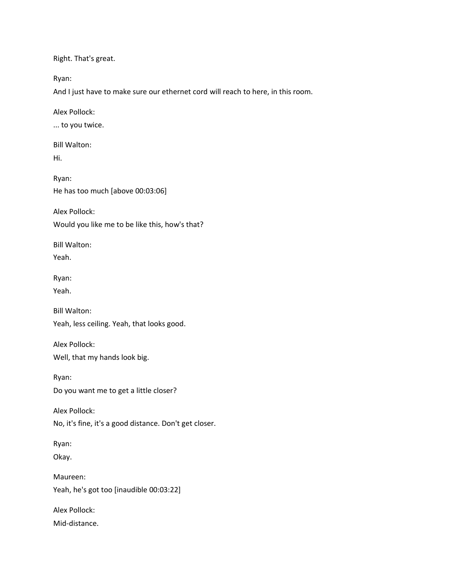Right. That's great.

Ryan:

And I just have to make sure our ethernet cord will reach to here, in this room.

Alex Pollock:

... to you twice.

Bill Walton:

Hi.

Ryan: He has too much [above 00:03:06]

Alex Pollock:

Would you like me to be like this, how's that?

Bill Walton: Yeah.

Ryan:

Yeah.

Bill Walton: Yeah, less ceiling. Yeah, that looks good.

Alex Pollock: Well, that my hands look big.

Ryan: Do you want me to get a little closer?

Alex Pollock:

No, it's fine, it's a good distance. Don't get closer.

Ryan:

Okay.

Maureen: Yeah, he's got too [inaudible 00:03:22]

Alex Pollock:

Mid-distance.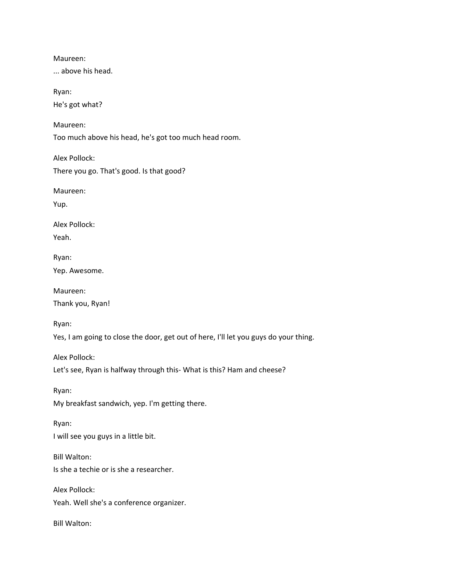Maureen: ... above his head. Ryan: He's got what? Maureen: Too much above his head, he's got too much head room. Alex Pollock: There you go. That's good. Is that good? Maureen: Yup. Alex Pollock: Yeah. Ryan: Yep. Awesome. Maureen: Thank you, Ryan! Ryan: Yes, I am going to close the door, get out of here, I'll let you guys do your thing. Alex Pollock: Let's see, Ryan is halfway through this- What is this? Ham and cheese? Ryan: My breakfast sandwich, yep. I'm getting there. Ryan: I will see you guys in a little bit. Bill Walton: Is she a techie or is she a researcher. Alex Pollock: Yeah. Well she's a conference organizer. Bill Walton: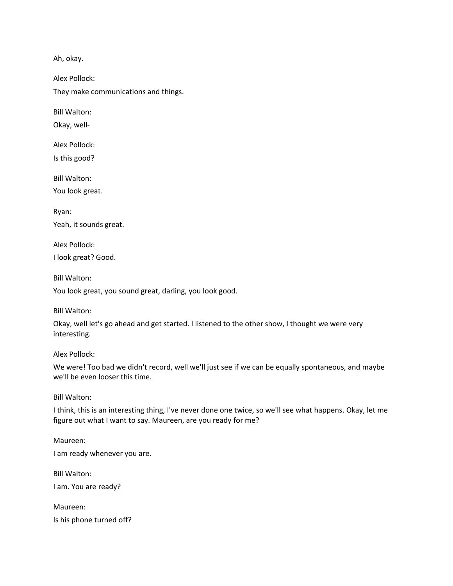Ah, okay.

Alex Pollock: They make communications and things.

Bill Walton:

Okay, well-

Alex Pollock: Is this good?

Bill Walton:

You look great.

Ryan: Yeah, it sounds great.

Alex Pollock: I look great? Good.

Bill Walton:

You look great, you sound great, darling, you look good.

Bill Walton:

Okay, well let's go ahead and get started. I listened to the other show, I thought we were very interesting.

Alex Pollock:

We were! Too bad we didn't record, well we'll just see if we can be equally spontaneous, and maybe we'll be even looser this time.

Bill Walton:

I think, this is an interesting thing, I've never done one twice, so we'll see what happens. Okay, let me figure out what I want to say. Maureen, are you ready for me?

Maureen: I am ready whenever you are. Bill Walton: I am. You are ready?

Maureen: Is his phone turned off?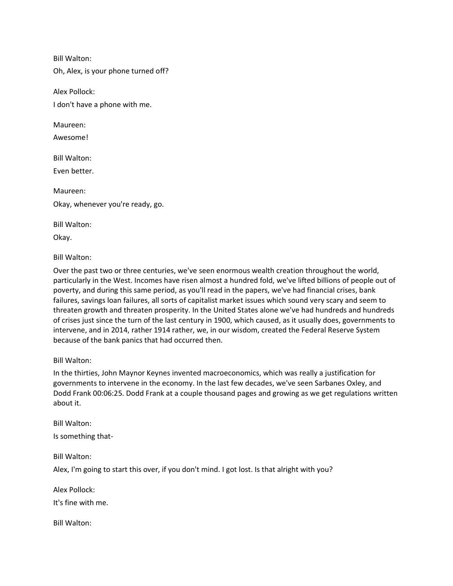Bill Walton:

Oh, Alex, is your phone turned off?

Alex Pollock:

I don't have a phone with me.

Maureen:

Awesome!

Bill Walton:

Even better.

Maureen: Okay, whenever you're ready, go.

Bill Walton:

Okay.

Bill Walton:

Over the past two or three centuries, we've seen enormous wealth creation throughout the world, particularly in the West. Incomes have risen almost a hundred fold, we've lifted billions of people out of poverty, and during this same period, as you'll read in the papers, we've had financial crises, bank failures, savings loan failures, all sorts of capitalist market issues which sound very scary and seem to threaten growth and threaten prosperity. In the United States alone we've had hundreds and hundreds of crises just since the turn of the last century in 1900, which caused, as it usually does, governments to intervene, and in 2014, rather 1914 rather, we, in our wisdom, created the Federal Reserve System because of the bank panics that had occurred then.

Bill Walton:

In the thirties, John Maynor Keynes invented macroeconomics, which was really a justification for governments to intervene in the economy. In the last few decades, we've seen Sarbanes Oxley, and Dodd Frank 00:06:25. Dodd Frank at a couple thousand pages and growing as we get regulations written about it.

Bill Walton: Is something that-

Bill Walton:

Alex, I'm going to start this over, if you don't mind. I got lost. Is that alright with you?

Alex Pollock:

It's fine with me.

Bill Walton: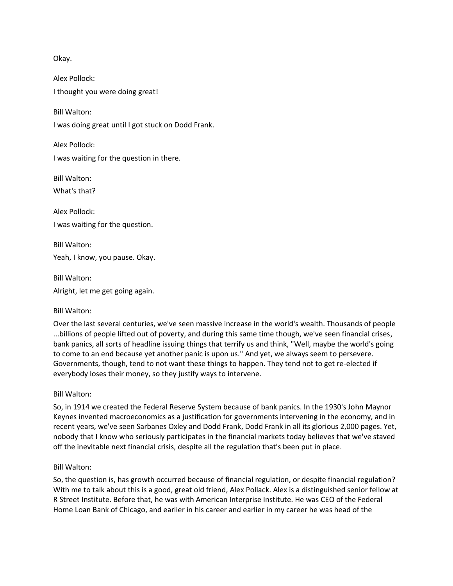Okay.

Alex Pollock: I thought you were doing great!

Bill Walton:

I was doing great until I got stuck on Dodd Frank.

Alex Pollock: I was waiting for the question in there.

Bill Walton:

What's that?

Alex Pollock: I was waiting for the question.

Bill Walton: Yeah, I know, you pause. Okay.

Bill Walton:

Alright, let me get going again.

### Bill Walton:

Over the last several centuries, we've seen massive increase in the world's wealth. Thousands of people ...billions of people lifted out of poverty, and during this same time though, we've seen financial crises, bank panics, all sorts of headline issuing things that terrify us and think, "Well, maybe the world's going to come to an end because yet another panic is upon us." And yet, we always seem to persevere. Governments, though, tend to not want these things to happen. They tend not to get re-elected if everybody loses their money, so they justify ways to intervene.

### Bill Walton:

So, in 1914 we created the Federal Reserve System because of bank panics. In the 1930's John Maynor Keynes invented macroeconomics as a justification for governments intervening in the economy, and in recent years, we've seen Sarbanes Oxley and Dodd Frank, Dodd Frank in all its glorious 2,000 pages. Yet, nobody that I know who seriously participates in the financial markets today believes that we've staved off the inevitable next financial crisis, despite all the regulation that's been put in place.

### Bill Walton:

So, the question is, has growth occurred because of financial regulation, or despite financial regulation? With me to talk about this is a good, great old friend, Alex Pollack. Alex is a distinguished senior fellow at R Street Institute. Before that, he was with American Interprise Institute. He was CEO of the Federal Home Loan Bank of Chicago, and earlier in his career and earlier in my career he was head of the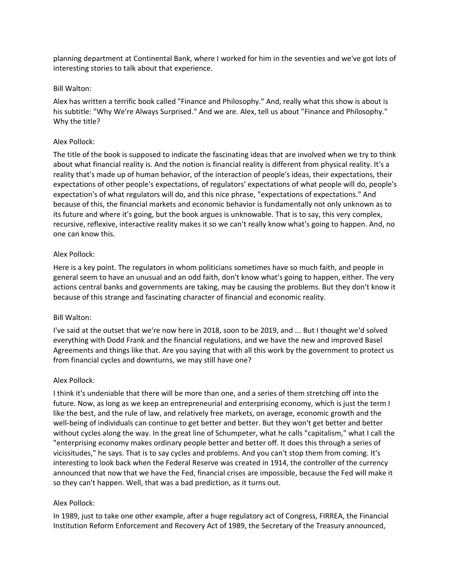planning department at Continental Bank, where I worked for him in the seventies and we've got lots of interesting stories to talk about that experience.

### Bill Walton:

Alex has written a terrific book called "Finance and Philosophy." And, really what this show is about is his subtitle: "Why We're Always Surprised." And we are. Alex, tell us about "Finance and Philosophy." Why the title?

## Alex Pollock:

The title of the book is supposed to indicate the fascinating ideas that are involved when we try to think about what financial reality is. And the notion is financial reality is different from physical reality. It's a reality that's made up of human behavior, of the interaction of people's ideas, their expectations, their expectations of other people's expectations, of regulators' expectations of what people will do, people's expectation's of what regulators will do, and this nice phrase, "expectations of expectations." And because of this, the financial markets and economic behavior is fundamentally not only unknown as to its future and where it's going, but the book argues is unknowable. That is to say, this very complex, recursive, reflexive, interactive reality makes it so we can't really know what's going to happen. And, no one can know this.

## Alex Pollock:

Here is a key point. The regulators in whom politicians sometimes have so much faith, and people in general seem to have an unusual and an odd faith, don't know what's going to happen, either. The very actions central banks and governments are taking, may be causing the problems. But they don't know it because of this strange and fascinating character of financial and economic reality.

## Bill Walton:

I've said at the outset that we're now here in 2018, soon to be 2019, and ... But I thought we'd solved everything with Dodd Frank and the financial regulations, and we have the new and improved Basel Agreements and things like that. Are you saying that with all this work by the government to protect us from financial cycles and downturns, we may still have one?

## Alex Pollock:

I think it's undeniable that there will be more than one, and a series of them stretching off into the future. Now, as long as we keep an entrepreneurial and enterprising economy, which is just the term I like the best, and the rule of law, and relatively free markets, on average, economic growth and the well-being of individuals can continue to get better and better. But they won't get better and better without cycles along the way. In the great line of Schumpeter, what he calls "capitalism," what I call the "enterprising economy makes ordinary people better and better off. It does this through a series of vicissitudes," he says. That is to say cycles and problems. And you can't stop them from coming. It's interesting to look back when the Federal Reserve was created in 1914, the controller of the currency announced that now that we have the Fed, financial crises are impossible, because the Fed will make it so they can't happen. Well, that was a bad prediction, as it turns out.

## Alex Pollock:

In 1989, just to take one other example, after a huge regulatory act of Congress, FIRREA, the Financial Institution Reform Enforcement and Recovery Act of 1989, the Secretary of the Treasury announced,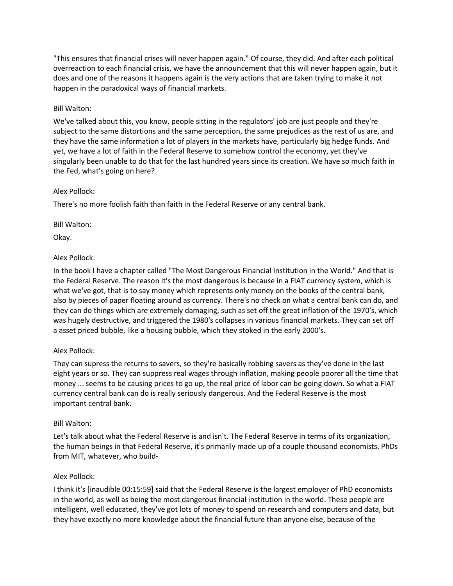"This ensures that financial crises will never happen again." Of course, they did. And after each political overreaction to each financial crisis, we have the announcement that this will never happen again, but it does and one of the reasons it happens again is the very actions that are taken trying to make it not happen in the paradoxical ways of financial markets.

## Bill Walton:

We've talked about this, you know, people sitting in the regulators' job are just people and they're subject to the same distortions and the same perception, the same prejudices as the rest of us are, and they have the same information a lot of players in the markets have, particularly big hedge funds. And yet, we have a lot of faith in the Federal Reserve to somehow control the economy, yet they've singularly been unable to do that for the last hundred years since its creation. We have so much faith in the Fed, what's going on here?

## Alex Pollock:

There's no more foolish faith than faith in the Federal Reserve or any central bank.

## Bill Walton:

Okay.

## Alex Pollock:

In the book I have a chapter called "The Most Dangerous Financial Institution in the World." And that is the Federal Reserve. The reason it's the most dangerous is because in a FIAT currency system, which is what we've got, that is to say money which represents only money on the books of the central bank, also by pieces of paper floating around as currency. There's no check on what a central bank can do, and they can do things which are extremely damaging, such as set off the great inflation of the 1970's, which was hugely destructive, and triggered the 1980's collapses in various financial markets. They can set off a asset priced bubble, like a housing bubble, which they stoked in the early 2000's.

## Alex Pollock:

They can supress the returns to savers, so they're basically robbing savers as they've done in the last eight years or so. They can suppress real wages through inflation, making people poorer all the time that money ... seems to be causing prices to go up, the real price of labor can be going down. So what a FIAT currency central bank can do is really seriously dangerous. And the Federal Reserve is the most important central bank.

## Bill Walton:

Let's talk about what the Federal Reserve is and isn't. The Federal Reserve in terms of its organization, the human beings in that Federal Reserve, it's primarily made up of a couple thousand economists. PhDs from MIT, whatever, who build-

## Alex Pollock:

I think it's [inaudible 00:15:59] said that the Federal Reserve is the largest employer of PhD economists in the world, as well as being the most dangerous financial institution in the world. These people are intelligent, well educated, they've got lots of money to spend on research and computers and data, but they have exactly no more knowledge about the financial future than anyone else, because of the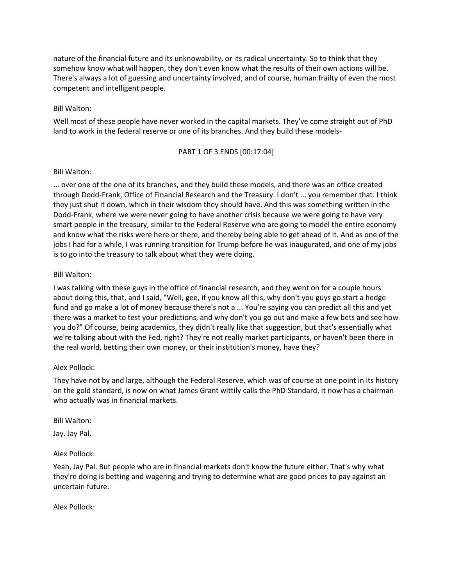nature of the financial future and its unknowability, or its radical uncertainty. So to think that they somehow know what will happen, they don't even know what the results of their own actions will be. There's always a lot of guessing and uncertainty involved, and of course, human frailty of even the most competent and intelligent people.

## Bill Walton:

Well most of these people have never worked in the capital markets. They've come straight out of PhD land to work in the federal reserve or one of its branches. And they build these models-

### PART 1 OF 3 ENDS [00:17:04]

### Bill Walton:

... over one of the one of its branches, and they build these models, and there was an office created through Dodd-Frank, Office of Financial Research and the Treasury. I don't ... you remember that. I think they just shut it down, which in their wisdom they should have. And this was something written in the Dodd-Frank, where we were never going to have another crisis because we were going to have very smart people in the treasury, similar to the Federal Reserve who are going to model the entire economy and know what the risks were here or there, and thereby being able to get ahead of it. And as one of the jobs I had for a while, I was running transition for Trump before he was inaugurated, and one of my jobs is to go into the treasury to talk about what they were doing.

## Bill Walton:

I was talking with these guys in the office of financial research, and they went on for a couple hours about doing this, that, and I said, "Well, gee, if you know all this, why don't you guys go start a hedge fund and go make a lot of money because there's not a ... You're saying you can predict all this and yet there was a market to test your predictions, and why don't you go out and make a few bets and see how you do?" Of course, being academics, they didn't really like that suggestion, but that's essentially what we're talking about with the Fed, right? They're not really market participants, or haven't been there in the real world, betting their own money, or their institution's money, have they?

## Alex Pollock:

They have not by and large, although the Federal Reserve, which was of course at one point in its history on the gold standard, is now on what James Grant wittily calls the PhD Standard. It now has a chairman who actually was in financial markets.

### Bill Walton:

Jay. Jay Pal.

## Alex Pollock:

Yeah, Jay Pal. But people who are in financial markets don't know the future either. That's why what they're doing is betting and wagering and trying to determine what are good prices to pay against an uncertain future.

Alex Pollock: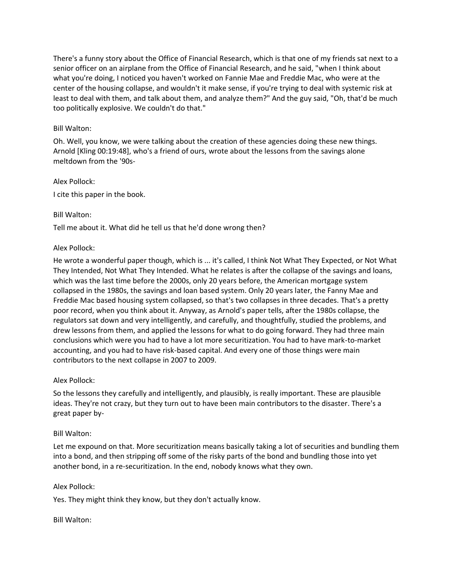There's a funny story about the Office of Financial Research, which is that one of my friends sat next to a senior officer on an airplane from the Office of Financial Research, and he said, "when I think about what you're doing, I noticed you haven't worked on Fannie Mae and Freddie Mac, who were at the center of the housing collapse, and wouldn't it make sense, if you're trying to deal with systemic risk at least to deal with them, and talk about them, and analyze them?" And the guy said, "Oh, that'd be much too politically explosive. We couldn't do that."

## Bill Walton:

Oh. Well, you know, we were talking about the creation of these agencies doing these new things. Arnold [Kling 00:19:48], who's a friend of ours, wrote about the lessons from the savings alone meltdown from the '90s-

Alex Pollock: I cite this paper in the book.

## Bill Walton:

Tell me about it. What did he tell us that he'd done wrong then?

## Alex Pollock:

He wrote a wonderful paper though, which is ... it's called, I think Not What They Expected, or Not What They Intended, Not What They Intended. What he relates is after the collapse of the savings and loans, which was the last time before the 2000s, only 20 years before, the American mortgage system collapsed in the 1980s, the savings and loan based system. Only 20 years later, the Fanny Mae and Freddie Mac based housing system collapsed, so that's two collapses in three decades. That's a pretty poor record, when you think about it. Anyway, as Arnold's paper tells, after the 1980s collapse, the regulators sat down and very intelligently, and carefully, and thoughtfully, studied the problems, and drew lessons from them, and applied the lessons for what to do going forward. They had three main conclusions which were you had to have a lot more securitization. You had to have mark-to-market accounting, and you had to have risk-based capital. And every one of those things were main contributors to the next collapse in 2007 to 2009.

## Alex Pollock:

So the lessons they carefully and intelligently, and plausibly, is really important. These are plausible ideas. They're not crazy, but they turn out to have been main contributors to the disaster. There's a great paper by-

## Bill Walton:

Let me expound on that. More securitization means basically taking a lot of securities and bundling them into a bond, and then stripping off some of the risky parts of the bond and bundling those into yet another bond, in a re-securitization. In the end, nobody knows what they own.

## Alex Pollock:

Yes. They might think they know, but they don't actually know.

## Bill Walton: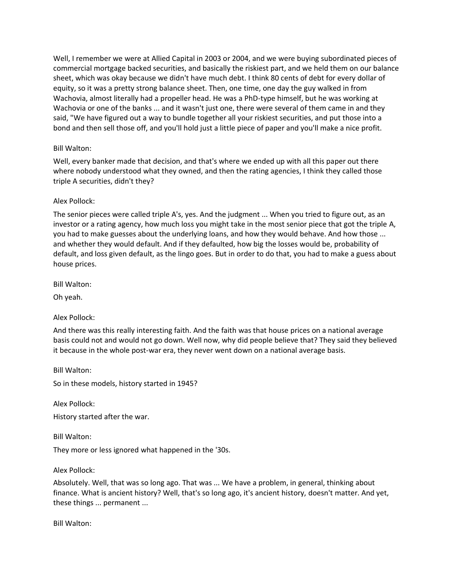Well, I remember we were at Allied Capital in 2003 or 2004, and we were buying subordinated pieces of commercial mortgage backed securities, and basically the riskiest part, and we held them on our balance sheet, which was okay because we didn't have much debt. I think 80 cents of debt for every dollar of equity, so it was a pretty strong balance sheet. Then, one time, one day the guy walked in from Wachovia, almost literally had a propeller head. He was a PhD-type himself, but he was working at Wachovia or one of the banks ... and it wasn't just one, there were several of them came in and they said, "We have figured out a way to bundle together all your riskiest securities, and put those into a bond and then sell those off, and you'll hold just a little piece of paper and you'll make a nice profit.

## Bill Walton:

Well, every banker made that decision, and that's where we ended up with all this paper out there where nobody understood what they owned, and then the rating agencies, I think they called those triple A securities, didn't they?

## Alex Pollock:

The senior pieces were called triple A's, yes. And the judgment ... When you tried to figure out, as an investor or a rating agency, how much loss you might take in the most senior piece that got the triple A, you had to make guesses about the underlying loans, and how they would behave. And how those ... and whether they would default. And if they defaulted, how big the losses would be, probability of default, and loss given default, as the lingo goes. But in order to do that, you had to make a guess about house prices.

Bill Walton:

Oh yeah.

## Alex Pollock:

And there was this really interesting faith. And the faith was that house prices on a national average basis could not and would not go down. Well now, why did people believe that? They said they believed it because in the whole post-war era, they never went down on a national average basis.

Bill Walton:

So in these models, history started in 1945?

Alex Pollock:

History started after the war.

Bill Walton:

They more or less ignored what happened in the '30s.

Alex Pollock:

Absolutely. Well, that was so long ago. That was ... We have a problem, in general, thinking about finance. What is ancient history? Well, that's so long ago, it's ancient history, doesn't matter. And yet, these things ... permanent ...

Bill Walton: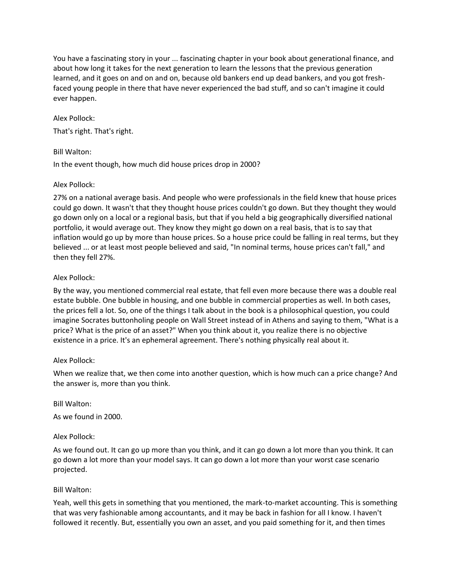You have a fascinating story in your ... fascinating chapter in your book about generational finance, and about how long it takes for the next generation to learn the lessons that the previous generation learned, and it goes on and on and on, because old bankers end up dead bankers, and you got freshfaced young people in there that have never experienced the bad stuff, and so can't imagine it could ever happen.

## Alex Pollock:

That's right. That's right.

## Bill Walton:

In the event though, how much did house prices drop in 2000?

## Alex Pollock:

27% on a national average basis. And people who were professionals in the field knew that house prices could go down. It wasn't that they thought house prices couldn't go down. But they thought they would go down only on a local or a regional basis, but that if you held a big geographically diversified national portfolio, it would average out. They know they might go down on a real basis, that is to say that inflation would go up by more than house prices. So a house price could be falling in real terms, but they believed ... or at least most people believed and said, "In nominal terms, house prices can't fall," and then they fell 27%.

## Alex Pollock:

By the way, you mentioned commercial real estate, that fell even more because there was a double real estate bubble. One bubble in housing, and one bubble in commercial properties as well. In both cases, the prices fell a lot. So, one of the things I talk about in the book is a philosophical question, you could imagine Socrates buttonholing people on Wall Street instead of in Athens and saying to them, "What is a price? What is the price of an asset?" When you think about it, you realize there is no objective existence in a price. It's an ephemeral agreement. There's nothing physically real about it.

## Alex Pollock:

When we realize that, we then come into another question, which is how much can a price change? And the answer is, more than you think.

Bill Walton:

As we found in 2000.

## Alex Pollock:

As we found out. It can go up more than you think, and it can go down a lot more than you think. It can go down a lot more than your model says. It can go down a lot more than your worst case scenario projected.

## Bill Walton:

Yeah, well this gets in something that you mentioned, the mark-to-market accounting. This is something that was very fashionable among accountants, and it may be back in fashion for all I know. I haven't followed it recently. But, essentially you own an asset, and you paid something for it, and then times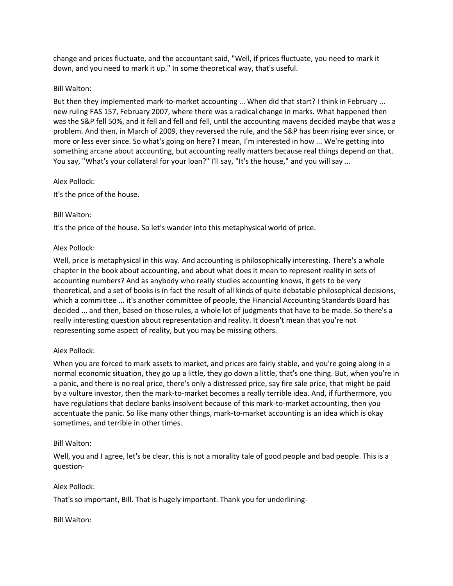change and prices fluctuate, and the accountant said, "Well, if prices fluctuate, you need to mark it down, and you need to mark it up." In some theoretical way, that's useful.

## Bill Walton:

But then they implemented mark-to-market accounting ... When did that start? I think in February ... new ruling FAS 157, February 2007, where there was a radical change in marks. What happened then was the S&P fell 50%, and it fell and fell and fell, until the accounting mavens decided maybe that was a problem. And then, in March of 2009, they reversed the rule, and the S&P has been rising ever since, or more or less ever since. So what's going on here? I mean, I'm interested in how ... We're getting into something arcane about accounting, but accounting really matters because real things depend on that. You say, "What's your collateral for your loan?" I'll say, "It's the house," and you will say ...

## Alex Pollock:

It's the price of the house.

## Bill Walton:

It's the price of the house. So let's wander into this metaphysical world of price.

## Alex Pollock:

Well, price is metaphysical in this way. And accounting is philosophically interesting. There's a whole chapter in the book about accounting, and about what does it mean to represent reality in sets of accounting numbers? And as anybody who really studies accounting knows, it gets to be very theoretical, and a set of books is in fact the result of all kinds of quite debatable philosophical decisions, which a committee ... it's another committee of people, the Financial Accounting Standards Board has decided ... and then, based on those rules, a whole lot of judgments that have to be made. So there's a really interesting question about representation and reality. It doesn't mean that you're not representing some aspect of reality, but you may be missing others.

## Alex Pollock:

When you are forced to mark assets to market, and prices are fairly stable, and you're going along in a normal economic situation, they go up a little, they go down a little, that's one thing. But, when you're in a panic, and there is no real price, there's only a distressed price, say fire sale price, that might be paid by a vulture investor, then the mark-to-market becomes a really terrible idea. And, if furthermore, you have regulations that declare banks insolvent because of this mark-to-market accounting, then you accentuate the panic. So like many other things, mark-to-market accounting is an idea which is okay sometimes, and terrible in other times.

## Bill Walton:

Well, you and I agree, let's be clear, this is not a morality tale of good people and bad people. This is a question-

## Alex Pollock:

That's so important, Bill. That is hugely important. Thank you for underlining-

## Bill Walton: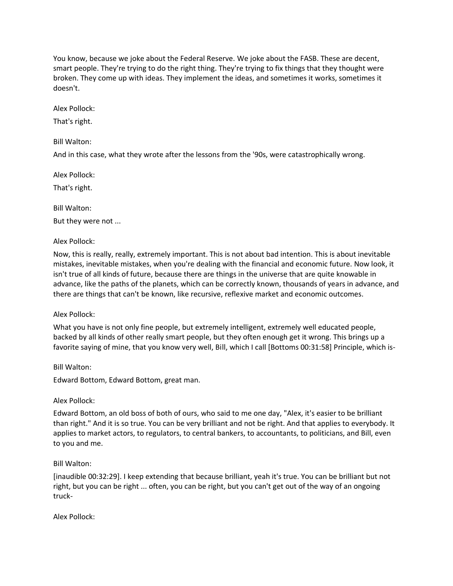You know, because we joke about the Federal Reserve. We joke about the FASB. These are decent, smart people. They're trying to do the right thing. They're trying to fix things that they thought were broken. They come up with ideas. They implement the ideas, and sometimes it works, sometimes it doesn't.

Alex Pollock:

That's right.

Bill Walton:

And in this case, what they wrote after the lessons from the '90s, were catastrophically wrong.

Alex Pollock:

That's right.

Bill Walton:

But they were not ...

Alex Pollock:

Now, this is really, really, extremely important. This is not about bad intention. This is about inevitable mistakes, inevitable mistakes, when you're dealing with the financial and economic future. Now look, it isn't true of all kinds of future, because there are things in the universe that are quite knowable in advance, like the paths of the planets, which can be correctly known, thousands of years in advance, and there are things that can't be known, like recursive, reflexive market and economic outcomes.

## Alex Pollock:

What you have is not only fine people, but extremely intelligent, extremely well educated people, backed by all kinds of other really smart people, but they often enough get it wrong. This brings up a favorite saying of mine, that you know very well, Bill, which I call [Bottoms 00:31:58] Principle, which is-

Bill Walton:

Edward Bottom, Edward Bottom, great man.

## Alex Pollock:

Edward Bottom, an old boss of both of ours, who said to me one day, "Alex, it's easier to be brilliant than right." And it is so true. You can be very brilliant and not be right. And that applies to everybody. It applies to market actors, to regulators, to central bankers, to accountants, to politicians, and Bill, even to you and me.

## Bill Walton:

[inaudible 00:32:29]. I keep extending that because brilliant, yeah it's true. You can be brilliant but not right, but you can be right ... often, you can be right, but you can't get out of the way of an ongoing truck-

Alex Pollock: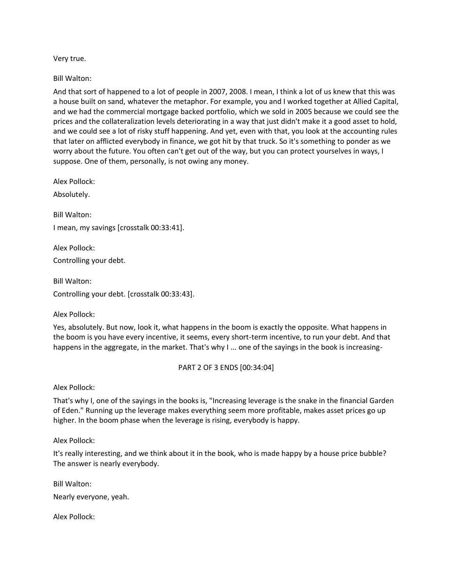Very true.

Bill Walton:

And that sort of happened to a lot of people in 2007, 2008. I mean, I think a lot of us knew that this was a house built on sand, whatever the metaphor. For example, you and I worked together at Allied Capital, and we had the commercial mortgage backed portfolio, which we sold in 2005 because we could see the prices and the collateralization levels deteriorating in a way that just didn't make it a good asset to hold, and we could see a lot of risky stuff happening. And yet, even with that, you look at the accounting rules that later on afflicted everybody in finance, we got hit by that truck. So it's something to ponder as we worry about the future. You often can't get out of the way, but you can protect yourselves in ways, I suppose. One of them, personally, is not owing any money.

Alex Pollock:

Absolutely.

Bill Walton:

I mean, my savings [crosstalk 00:33:41].

Alex Pollock: Controlling your debt.

Bill Walton: Controlling your debt. [crosstalk 00:33:43].

Alex Pollock:

Yes, absolutely. But now, look it, what happens in the boom is exactly the opposite. What happens in the boom is you have every incentive, it seems, every short-term incentive, to run your debt. And that happens in the aggregate, in the market. That's why I ... one of the sayings in the book is increasing-

PART 2 OF 3 ENDS [00:34:04]

Alex Pollock:

That's why I, one of the sayings in the books is, "Increasing leverage is the snake in the financial Garden of Eden." Running up the leverage makes everything seem more profitable, makes asset prices go up higher. In the boom phase when the leverage is rising, everybody is happy.

Alex Pollock:

It's really interesting, and we think about it in the book, who is made happy by a house price bubble? The answer is nearly everybody.

Bill Walton: Nearly everyone, yeah.

Alex Pollock: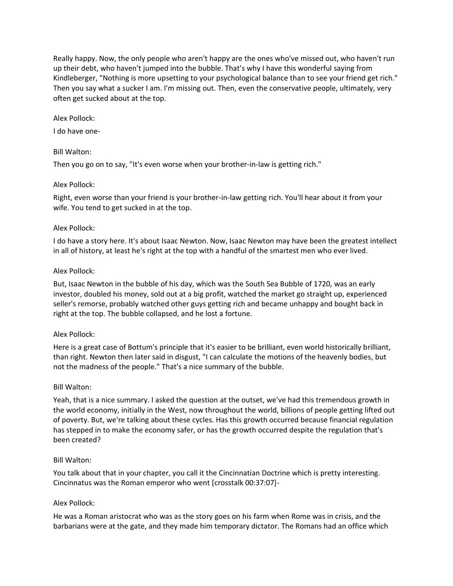Really happy. Now, the only people who aren't happy are the ones who've missed out, who haven't run up their debt, who haven't jumped into the bubble. That's why I have this wonderful saying from Kindleberger, "Nothing is more upsetting to your psychological balance than to see your friend get rich." Then you say what a sucker I am. I'm missing out. Then, even the conservative people, ultimately, very often get sucked about at the top.

## Alex Pollock:

I do have one-

## Bill Walton:

Then you go on to say, "It's even worse when your brother-in-law is getting rich."

### Alex Pollock:

Right, even worse than your friend is your brother-in-law getting rich. You'll hear about it from your wife. You tend to get sucked in at the top.

### Alex Pollock:

I do have a story here. It's about Isaac Newton. Now, Isaac Newton may have been the greatest intellect in all of history, at least he's right at the top with a handful of the smartest men who ever lived.

### Alex Pollock:

But, Isaac Newton in the bubble of his day, which was the South Sea Bubble of 1720, was an early investor, doubled his money, sold out at a big profit, watched the market go straight up, experienced seller's remorse, probably watched other guys getting rich and became unhappy and bought back in right at the top. The bubble collapsed, and he lost a fortune.

## Alex Pollock:

Here is a great case of Bottum's principle that it's easier to be brilliant, even world historically brilliant, than right. Newton then later said in disgust, "I can calculate the motions of the heavenly bodies, but not the madness of the people." That's a nice summary of the bubble.

## Bill Walton:

Yeah, that is a nice summary. I asked the question at the outset, we've had this tremendous growth in the world economy, initially in the West, now throughout the world, billions of people getting lifted out of poverty. But, we're talking about these cycles. Has this growth occurred because financial regulation has stepped in to make the economy safer, or has the growth occurred despite the regulation that's been created?

## Bill Walton:

You talk about that in your chapter, you call it the Cincinnatian Doctrine which is pretty interesting. Cincinnatus was the Roman emperor who went [crosstalk 00:37:07]-

### Alex Pollock:

He was a Roman aristocrat who was as the story goes on his farm when Rome was in crisis, and the barbarians were at the gate, and they made him temporary dictator. The Romans had an office which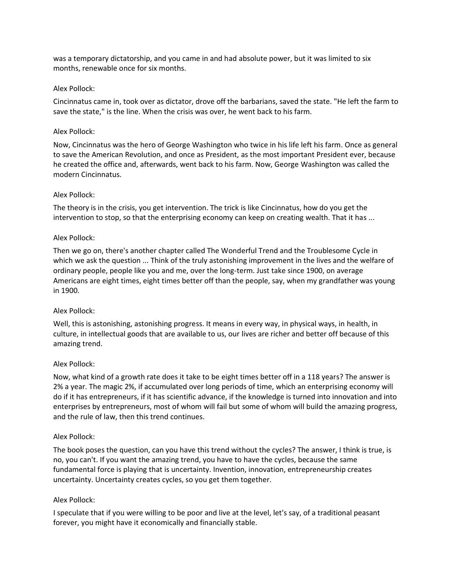was a temporary dictatorship, and you came in and had absolute power, but it was limited to six months, renewable once for six months.

### Alex Pollock:

Cincinnatus came in, took over as dictator, drove off the barbarians, saved the state. "He left the farm to save the state," is the line. When the crisis was over, he went back to his farm.

### Alex Pollock:

Now, Cincinnatus was the hero of George Washington who twice in his life left his farm. Once as general to save the American Revolution, and once as President, as the most important President ever, because he created the office and, afterwards, went back to his farm. Now, George Washington was called the modern Cincinnatus.

### Alex Pollock:

The theory is in the crisis, you get intervention. The trick is like Cincinnatus, how do you get the intervention to stop, so that the enterprising economy can keep on creating wealth. That it has ...

### Alex Pollock:

Then we go on, there's another chapter called The Wonderful Trend and the Troublesome Cycle in which we ask the question ... Think of the truly astonishing improvement in the lives and the welfare of ordinary people, people like you and me, over the long-term. Just take since 1900, on average Americans are eight times, eight times better off than the people, say, when my grandfather was young in 1900.

## Alex Pollock:

Well, this is astonishing, astonishing progress. It means in every way, in physical ways, in health, in culture, in intellectual goods that are available to us, our lives are richer and better off because of this amazing trend.

### Alex Pollock:

Now, what kind of a growth rate does it take to be eight times better off in a 118 years? The answer is 2% a year. The magic 2%, if accumulated over long periods of time, which an enterprising economy will do if it has entrepreneurs, if it has scientific advance, if the knowledge is turned into innovation and into enterprises by entrepreneurs, most of whom will fail but some of whom will build the amazing progress, and the rule of law, then this trend continues.

### Alex Pollock:

The book poses the question, can you have this trend without the cycles? The answer, I think is true, is no, you can't. If you want the amazing trend, you have to have the cycles, because the same fundamental force is playing that is uncertainty. Invention, innovation, entrepreneurship creates uncertainty. Uncertainty creates cycles, so you get them together.

### Alex Pollock:

I speculate that if you were willing to be poor and live at the level, let's say, of a traditional peasant forever, you might have it economically and financially stable.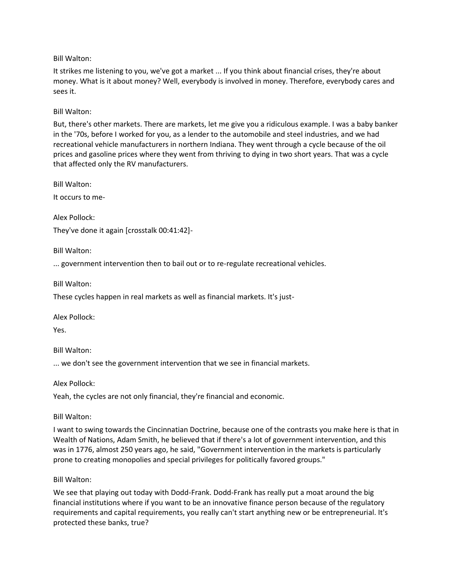Bill Walton:

It strikes me listening to you, we've got a market ... If you think about financial crises, they're about money. What is it about money? Well, everybody is involved in money. Therefore, everybody cares and sees it.

Bill Walton:

But, there's other markets. There are markets, let me give you a ridiculous example. I was a baby banker in the '70s, before I worked for you, as a lender to the automobile and steel industries, and we had recreational vehicle manufacturers in northern Indiana. They went through a cycle because of the oil prices and gasoline prices where they went from thriving to dying in two short years. That was a cycle that affected only the RV manufacturers.

Bill Walton:

It occurs to me-

Alex Pollock:

They've done it again [crosstalk 00:41:42]-

Bill Walton:

... government intervention then to bail out or to re-regulate recreational vehicles.

Bill Walton:

These cycles happen in real markets as well as financial markets. It's just-

Alex Pollock:

Yes.

Bill Walton:

... we don't see the government intervention that we see in financial markets.

Alex Pollock:

Yeah, the cycles are not only financial, they're financial and economic.

Bill Walton:

I want to swing towards the Cincinnatian Doctrine, because one of the contrasts you make here is that in Wealth of Nations, Adam Smith, he believed that if there's a lot of government intervention, and this was in 1776, almost 250 years ago, he said, "Government intervention in the markets is particularly prone to creating monopolies and special privileges for politically favored groups."

Bill Walton:

We see that playing out today with Dodd-Frank. Dodd-Frank has really put a moat around the big financial institutions where if you want to be an innovative finance person because of the regulatory requirements and capital requirements, you really can't start anything new or be entrepreneurial. It's protected these banks, true?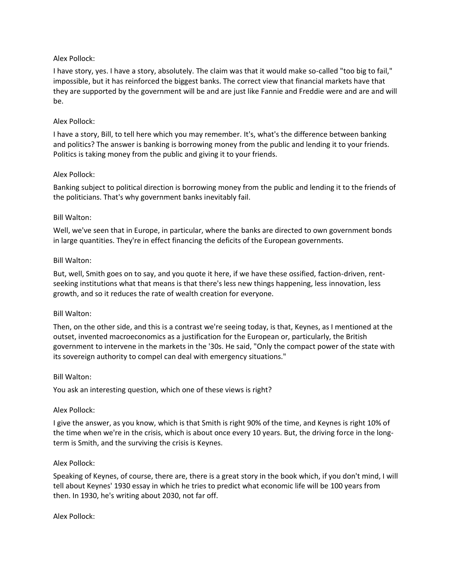## Alex Pollock:

I have story, yes. I have a story, absolutely. The claim was that it would make so-called "too big to fail," impossible, but it has reinforced the biggest banks. The correct view that financial markets have that they are supported by the government will be and are just like Fannie and Freddie were and are and will be.

## Alex Pollock:

I have a story, Bill, to tell here which you may remember. It's, what's the difference between banking and politics? The answer is banking is borrowing money from the public and lending it to your friends. Politics is taking money from the public and giving it to your friends.

### Alex Pollock:

Banking subject to political direction is borrowing money from the public and lending it to the friends of the politicians. That's why government banks inevitably fail.

### Bill Walton:

Well, we've seen that in Europe, in particular, where the banks are directed to own government bonds in large quantities. They're in effect financing the deficits of the European governments.

### Bill Walton:

But, well, Smith goes on to say, and you quote it here, if we have these ossified, faction-driven, rentseeking institutions what that means is that there's less new things happening, less innovation, less growth, and so it reduces the rate of wealth creation for everyone.

## Bill Walton:

Then, on the other side, and this is a contrast we're seeing today, is that, Keynes, as I mentioned at the outset, invented macroeconomics as a justification for the European or, particularly, the British government to intervene in the markets in the '30s. He said, "Only the compact power of the state with its sovereign authority to compel can deal with emergency situations."

### Bill Walton:

You ask an interesting question, which one of these views is right?

### Alex Pollock:

I give the answer, as you know, which is that Smith is right 90% of the time, and Keynes is right 10% of the time when we're in the crisis, which is about once every 10 years. But, the driving force in the longterm is Smith, and the surviving the crisis is Keynes.

### Alex Pollock:

Speaking of Keynes, of course, there are, there is a great story in the book which, if you don't mind, I will tell about Keynes' 1930 essay in which he tries to predict what economic life will be 100 years from then. In 1930, he's writing about 2030, not far off.

Alex Pollock: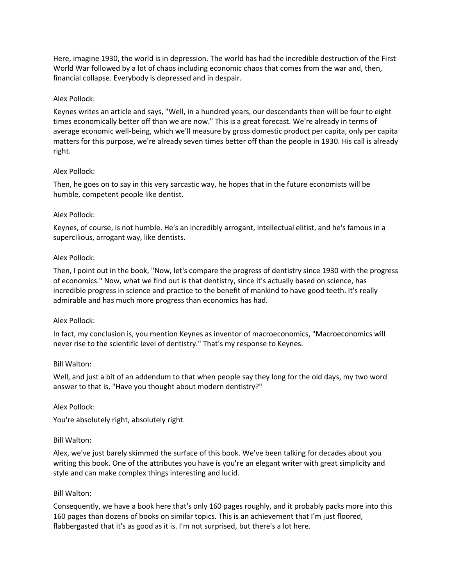Here, imagine 1930, the world is in depression. The world has had the incredible destruction of the First World War followed by a lot of chaos including economic chaos that comes from the war and, then, financial collapse. Everybody is depressed and in despair.

## Alex Pollock:

Keynes writes an article and says, "Well, in a hundred years, our descendants then will be four to eight times economically better off than we are now." This is a great forecast. We're already in terms of average economic well-being, which we'll measure by gross domestic product per capita, only per capita matters for this purpose, we're already seven times better off than the people in 1930. His call is already right.

## Alex Pollock:

Then, he goes on to say in this very sarcastic way, he hopes that in the future economists will be humble, competent people like dentist.

## Alex Pollock:

Keynes, of course, is not humble. He's an incredibly arrogant, intellectual elitist, and he's famous in a supercilious, arrogant way, like dentists.

## Alex Pollock:

Then, I point out in the book, "Now, let's compare the progress of dentistry since 1930 with the progress of economics." Now, what we find out is that dentistry, since it's actually based on science, has incredible progress in science and practice to the benefit of mankind to have good teeth. It's really admirable and has much more progress than economics has had.

## Alex Pollock:

In fact, my conclusion is, you mention Keynes as inventor of macroeconomics, "Macroeconomics will never rise to the scientific level of dentistry." That's my response to Keynes.

## Bill Walton:

Well, and just a bit of an addendum to that when people say they long for the old days, my two word answer to that is, "Have you thought about modern dentistry?"

## Alex Pollock:

You're absolutely right, absolutely right.

## Bill Walton:

Alex, we've just barely skimmed the surface of this book. We've been talking for decades about you writing this book. One of the attributes you have is you're an elegant writer with great simplicity and style and can make complex things interesting and lucid.

## Bill Walton:

Consequently, we have a book here that's only 160 pages roughly, and it probably packs more into this 160 pages than dozens of books on similar topics. This is an achievement that I'm just floored, flabbergasted that it's as good as it is. I'm not surprised, but there's a lot here.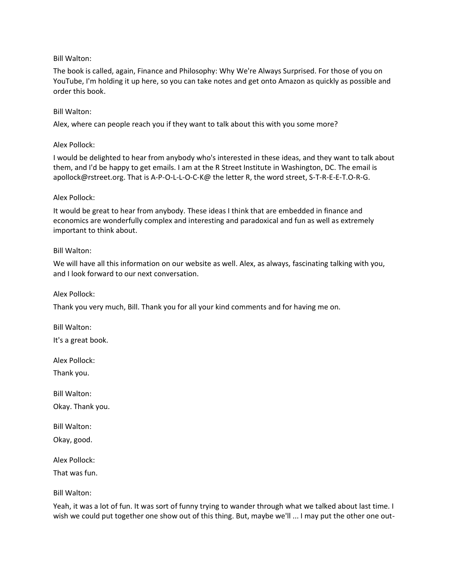## Bill Walton:

The book is called, again, Finance and Philosophy: Why We're Always Surprised. For those of you on YouTube, I'm holding it up here, so you can take notes and get onto Amazon as quickly as possible and order this book.

## Bill Walton:

Alex, where can people reach you if they want to talk about this with you some more?

## Alex Pollock:

I would be delighted to hear from anybody who's interested in these ideas, and they want to talk about them, and I'd be happy to get emails. I am at the R Street Institute in Washington, DC. The email is apollock@rstreet.org. That is A-P-O-L-L-O-C-K@ the letter R, the word street, S-T-R-E-E-T.O-R-G.

## Alex Pollock:

It would be great to hear from anybody. These ideas I think that are embedded in finance and economics are wonderfully complex and interesting and paradoxical and fun as well as extremely important to think about.

## Bill Walton:

We will have all this information on our website as well. Alex, as always, fascinating talking with you, and I look forward to our next conversation.

Alex Pollock:

Thank you very much, Bill. Thank you for all your kind comments and for having me on.

Bill Walton:

It's a great book.

Alex Pollock:

Thank you.

Bill Walton:

Okay. Thank you.

Bill Walton: Okay, good.

Alex Pollock:

That was fun.

Bill Walton:

Yeah, it was a lot of fun. It was sort of funny trying to wander through what we talked about last time. I wish we could put together one show out of this thing. But, maybe we'll ... I may put the other one out-